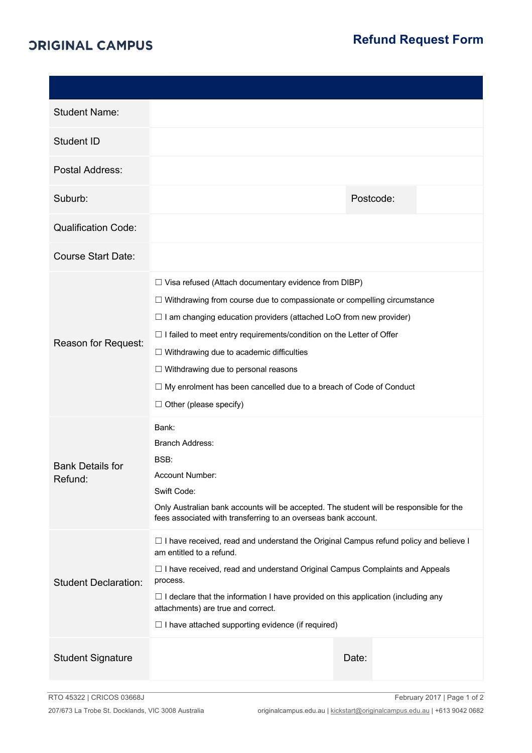## *ORIGINAL CAMPUS*

| <b>Student Name:</b>               |                                                                                                                                                                                                                                                                                                                                                                                                                                                                                                                          |           |  |  |  |
|------------------------------------|--------------------------------------------------------------------------------------------------------------------------------------------------------------------------------------------------------------------------------------------------------------------------------------------------------------------------------------------------------------------------------------------------------------------------------------------------------------------------------------------------------------------------|-----------|--|--|--|
| Student ID                         |                                                                                                                                                                                                                                                                                                                                                                                                                                                                                                                          |           |  |  |  |
| Postal Address:                    |                                                                                                                                                                                                                                                                                                                                                                                                                                                                                                                          |           |  |  |  |
| Suburb:                            |                                                                                                                                                                                                                                                                                                                                                                                                                                                                                                                          | Postcode: |  |  |  |
| <b>Qualification Code:</b>         |                                                                                                                                                                                                                                                                                                                                                                                                                                                                                                                          |           |  |  |  |
| <b>Course Start Date:</b>          |                                                                                                                                                                                                                                                                                                                                                                                                                                                                                                                          |           |  |  |  |
| Reason for Request:                | $\Box$ Visa refused (Attach documentary evidence from DIBP)<br>$\Box$ Withdrawing from course due to compassionate or compelling circumstance<br>$\Box$ I am changing education providers (attached LoO from new provider)<br>$\Box$ I failed to meet entry requirements/condition on the Letter of Offer<br>$\Box$ Withdrawing due to academic difficulties<br>$\Box$ Withdrawing due to personal reasons<br>$\Box$ My enrolment has been cancelled due to a breach of Code of Conduct<br>$\Box$ Other (please specify) |           |  |  |  |
| <b>Bank Details for</b><br>Refund: | Bank:<br><b>Branch Address:</b><br>BSB:<br>Account Number:<br>Swift Code:<br>Only Australian bank accounts will be accepted. The student will be responsible for the<br>fees associated with transferring to an overseas bank account.                                                                                                                                                                                                                                                                                   |           |  |  |  |
| <b>Student Declaration:</b>        | $\Box$ I have received, read and understand the Original Campus refund policy and believe I<br>am entitled to a refund.<br>$\Box$ I have received, read and understand Original Campus Complaints and Appeals<br>process.<br>$\Box$ I declare that the information I have provided on this application (including any<br>attachments) are true and correct.<br>$\Box$ I have attached supporting evidence (if required)                                                                                                  |           |  |  |  |
| <b>Student Signature</b>           |                                                                                                                                                                                                                                                                                                                                                                                                                                                                                                                          | Date:     |  |  |  |